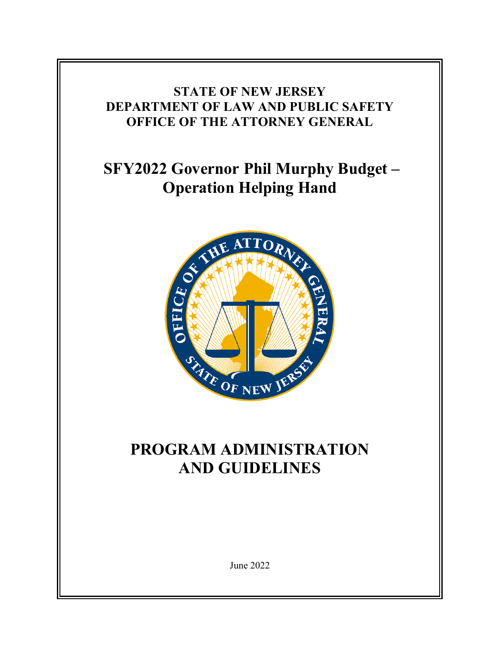# **STATE OF NEW JERSEY DEPARTMENT OF LAW AND PUBLIC SAFETY OFFICE OF THE ATTORNEY GENERAL**

# **SFY2022 Governor Phil Murphy Budget –**



# **PROGRAM ADMINISTRATION AND GUIDELINES**

June 2022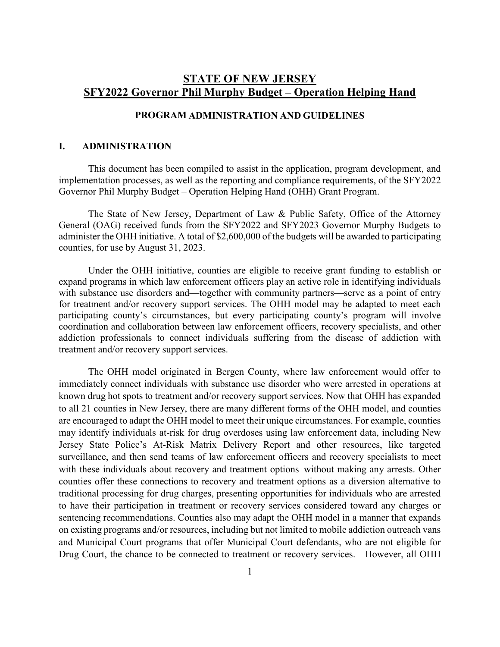# **STATE OF NEW JERSEY SFY2022 Governor Phil Murphy Budget – Operation Helping Hand**

#### **PROGRAM ADMINISTRATION AND GUIDELINES**

#### **I. ADMINISTRATION**

This document has been compiled to assist in the application, program development, and implementation processes, as well as the reporting and compliance requirements, of the SFY2022 Governor Phil Murphy Budget – Operation Helping Hand (OHH) Grant Program.

The State of New Jersey, Department of Law & Public Safety, Office of the Attorney General (OAG) received funds from the SFY2022 and SFY2023 Governor Murphy Budgets to administer the OHH initiative. A total of \$2,600,000 of the budgets will be awarded to participating counties, for use by August 31, 2023.

Under the OHH initiative, counties are eligible to receive grant funding to establish or expand programs in which law enforcement officers play an active role in identifying individuals with substance use disorders and—together with community partners—serve as a point of entry for treatment and/or recovery support services. The OHH model may be adapted to meet each participating county's circumstances, but every participating county's program will involve coordination and collaboration between law enforcement officers, recovery specialists, and other addiction professionals to connect individuals suffering from the disease of addiction with treatment and/or recovery support services.

The OHH model originated in Bergen County, where law enforcement would offer to immediately connect individuals with substance use disorder who were arrested in operations at known drug hot spots to treatment and/or recovery support services. Now that OHH has expanded to all 21 counties in New Jersey, there are many different forms of the OHH model, and counties are encouraged to adapt the OHH model to meet their unique circumstances. For example, counties may identify individuals at-risk for drug overdoses using law enforcement data, including New Jersey State Police's At-Risk Matrix Delivery Report and other resources, like targeted surveillance, and then send teams of law enforcement officers and recovery specialists to meet with these individuals about recovery and treatment options–without making any arrests. Other counties offer these connections to recovery and treatment options as a diversion alternative to traditional processing for drug charges, presenting opportunities for individuals who are arrested to have their participation in treatment or recovery services considered toward any charges or sentencing recommendations. Counties also may adapt the OHH model in a manner that expands on existing programs and/or resources, including but not limited to mobile addiction outreach vans and Municipal Court programs that offer Municipal Court defendants, who are not eligible for Drug Court, the chance to be connected to treatment or recovery services. However, all OHH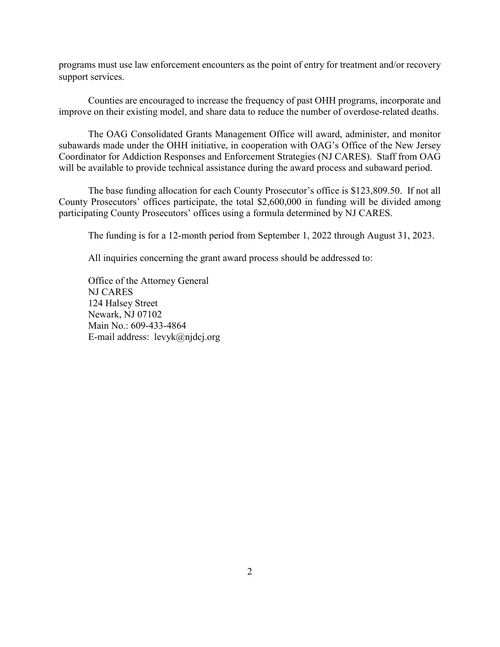programs must use law enforcement encounters as the point of entry for treatment and/or recovery support services.

Counties are encouraged to increase the frequency of past OHH programs, incorporate and improve on their existing model, and share data to reduce the number of overdose-related deaths.

The OAG Consolidated Grants Management Office will award, administer, and monitor subawards made under the OHH initiative, in cooperation with OAG's Office of the New Jersey Coordinator for Addiction Responses and Enforcement Strategies (NJ CARES). Staff from OAG will be available to provide technical assistance during the award process and subaward period.

The base funding allocation for each County Prosecutor's office is \$123,809.50. If not all County Prosecutors' offices participate, the total \$2,600,000 in funding will be divided among participating County Prosecutors' offices using a formula determined by NJ CARES.

The funding is for a 12-month period from September 1, 2022 through August 31, 2023.

All inquiries concerning the grant award process should be addressed to:

Office of the Attorney General NJ CARES 124 Halsey Street Newark, NJ 07102 Main No.: 609-433-4864 E-mail address: levyk@njdcj.org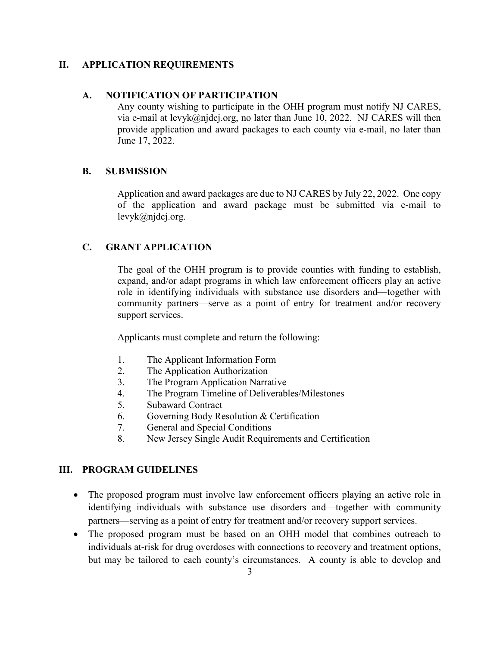#### **II. APPLICATION REQUIREMENTS**

#### **A. NOTIFICATION OF PARTICIPATION**

Any county wishing to participate in the OHH program must notify NJ CARES, via e-mail at levyk $(\partial \rho_{\text{nj}})$ dcj.org, no later than June 10, 2022. NJ CARES will then provide application and award packages to each county via e-mail, no later than June 17, 2022.

#### **B. SUBMISSION**

Application and award packages are due to NJ CARES by July 22, 2022. One copy of the application and award package must be submitted via e-mail to levyk@njdcj.org.

## **C. GRANT APPLICATION**

The goal of the OHH program is to provide counties with funding to establish, expand, and/or adapt programs in which law enforcement officers play an active role in identifying individuals with substance use disorders and—together with community partners—serve as a point of entry for treatment and/or recovery support services.

Applicants must complete and return the following:

- 1. The Applicant Information Form
- 2. The Application Authorization
- 3. The Program Application Narrative
- 4. The Program Timeline of Deliverables/Milestones
- 5. Subaward Contract
- 6. Governing Body Resolution & Certification
- 7. General and Special Conditions
- 8. New Jersey Single Audit Requirements and Certification

#### **III. PROGRAM GUIDELINES**

- The proposed program must involve law enforcement officers playing an active role in identifying individuals with substance use disorders and—together with community partners—serving as a point of entry for treatment and/or recovery support services.
- The proposed program must be based on an OHH model that combines outreach to individuals at-risk for drug overdoses with connections to recovery and treatment options, but may be tailored to each county's circumstances. A county is able to develop and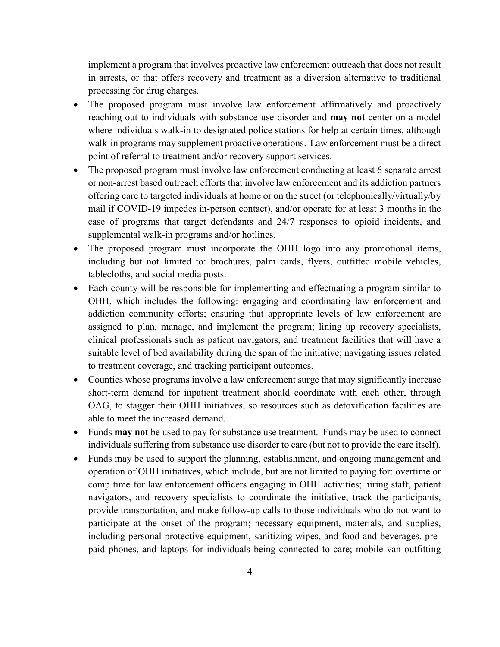implement a program that involves proactive law enforcement outreach that does not result in arrests, or that offers recovery and treatment as a diversion alternative to traditional processing for drug charges.

- The proposed program must involve law enforcement affirmatively and proactively reaching out to individuals with substance use disorder and **may not** center on a model where individuals walk-in to designated police stations for help at certain times, although walk-in programs may supplement proactive operations. Law enforcement must be a direct point of referral to treatment and/or recovery support services.
- The proposed program must involve law enforcement conducting at least 6 separate arrest or non-arrest based outreach efforts that involve law enforcement and its addiction partners offering care to targeted individuals at home or on the street (or telephonically/virtually/by mail if COVID-19 impedes in-person contact), and/or operate for at least 3 months in the case of programs that target defendants and 24/7 responses to opioid incidents, and supplemental walk-in programs and/or hotlines.
- The proposed program must incorporate the OHH logo into any promotional items, including but not limited to: brochures, palm cards, flyers, outfitted mobile vehicles, tablecloths, and social media posts.
- Each county will be responsible for implementing and effectuating a program similar to OHH, which includes the following: engaging and coordinating law enforcement and addiction community efforts; ensuring that appropriate levels of law enforcement are assigned to plan, manage, and implement the program; lining up recovery specialists, clinical professionals such as patient navigators, and treatment facilities that will have a suitable level of bed availability during the span of the initiative; navigating issues related to treatment coverage, and tracking participant outcomes.
- Counties whose programs involve a law enforcement surge that may significantly increase short-term demand for inpatient treatment should coordinate with each other, through OAG, to stagger their OHH initiatives, so resources such as detoxification facilities are able to meet the increased demand.
- Funds **may not** be used to pay for substance use treatment. Funds may be used to connect individuals suffering from substance use disorder to care (but not to provide the care itself).
- Funds may be used to support the planning, establishment, and ongoing management and operation of OHH initiatives, which include, but are not limited to paying for: overtime or comp time for law enforcement officers engaging in OHH activities; hiring staff, patient navigators, and recovery specialists to coordinate the initiative, track the participants, provide transportation, and make follow-up calls to those individuals who do not want to participate at the onset of the program; necessary equipment, materials, and supplies, including personal protective equipment, sanitizing wipes, and food and beverages, prepaid phones, and laptops for individuals being connected to care; mobile van outfitting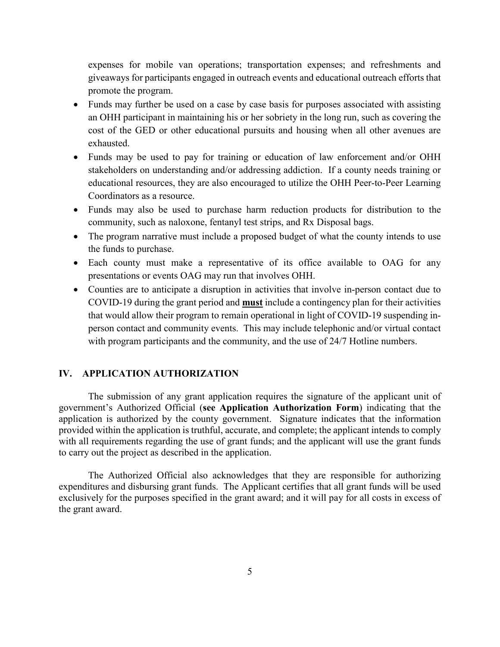expenses for mobile van operations; transportation expenses; and refreshments and giveaways for participants engaged in outreach events and educational outreach efforts that promote the program.

- Funds may further be used on a case by case basis for purposes associated with assisting an OHH participant in maintaining his or her sobriety in the long run, such as covering the cost of the GED or other educational pursuits and housing when all other avenues are exhausted.
- Funds may be used to pay for training or education of law enforcement and/or OHH stakeholders on understanding and/or addressing addiction. If a county needs training or educational resources, they are also encouraged to utilize the OHH Peer-to-Peer Learning Coordinators as a resource.
- Funds may also be used to purchase harm reduction products for distribution to the community, such as naloxone, fentanyl test strips, and Rx Disposal bags.
- The program narrative must include a proposed budget of what the county intends to use the funds to purchase.
- Each county must make a representative of its office available to OAG for any presentations or events OAG may run that involves OHH.
- Counties are to anticipate a disruption in activities that involve in-person contact due to COVID-19 during the grant period and **must** include a contingency plan for their activities that would allow their program to remain operational in light of COVID-19 suspending inperson contact and community events. This may include telephonic and/or virtual contact with program participants and the community, and the use of 24/7 Hotline numbers.

#### **IV. APPLICATION AUTHORIZATION**

The submission of any grant application requires the signature of the applicant unit of government's Authorized Official (**see Application Authorization Form**) indicating that the application is authorized by the county government. Signature indicates that the information provided within the application is truthful, accurate, and complete; the applicant intends to comply with all requirements regarding the use of grant funds; and the applicant will use the grant funds to carry out the project as described in the application.

The Authorized Official also acknowledges that they are responsible for authorizing expenditures and disbursing grant funds. The Applicant certifies that all grant funds will be used exclusively for the purposes specified in the grant award; and it will pay for all costs in excess of the grant award.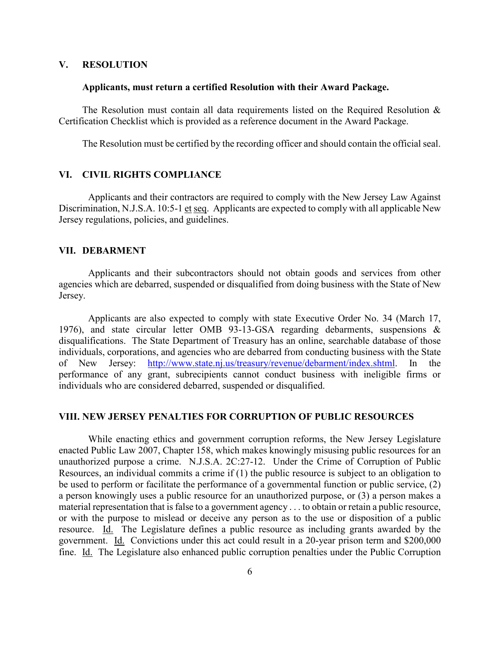#### **V. RESOLUTION**

#### **Applicants, must return a certified Resolution with their Award Package.**

The Resolution must contain all data requirements listed on the Required Resolution & Certification Checklist which is provided as a reference document in the Award Package.

The Resolution must be certified by the recording officer and should contain the official seal.

#### **VI. CIVIL RIGHTS COMPLIANCE**

Applicants and their contractors are required to comply with the New Jersey Law Against Discrimination, N.J.S.A. 10:5-1 et seq. Applicants are expected to comply with all applicable New Jersey regulations, policies, and guidelines.

#### **VII. DEBARMENT**

Applicants and their subcontractors should not obtain goods and services from other agencies which are debarred, suspended or disqualified from doing business with the State of New Jersey.

Applicants are also expected to comply with state Executive Order No. 34 (March 17, 1976), and state circular letter OMB 93-13-GSA regarding debarments, suspensions & disqualifications. The State Department of Treasury has an online, searchable database of those individuals, corporations, and agencies who are debarred from conducting business with the State of New Jersey: [http://www.state.nj.us/treasury/revenue/debarment/index.shtml.](http://www.state.nj.us/treasury/revenue/debarment/index.shtml) In the performance of any grant, subrecipients cannot conduct business with ineligible firms or individuals who are considered debarred, suspended or disqualified.

#### **VIII. NEW JERSEY PENALTIES FOR CORRUPTION OF PUBLIC RESOURCES**

While enacting ethics and government corruption reforms, the New Jersey Legislature enacted Public Law 2007, Chapter 158, which makes knowingly misusing public resources for an unauthorized purpose a crime. N.J.S.A. 2C:27-12. Under the Crime of Corruption of Public Resources, an individual commits a crime if (1) the public resource is subject to an obligation to be used to perform or facilitate the performance of a governmental function or public service, (2) a person knowingly uses a public resource for an unauthorized purpose, or (3) a person makes a material representation that is false to a government agency . . . to obtain or retain a public resource, or with the purpose to mislead or deceive any person as to the use or disposition of a public resource. Id. The Legislature defines a public resource as including grants awarded by the government. Id. Convictions under this act could result in a 20-year prison term and \$200,000 fine. Id. The Legislature also enhanced public corruption penalties under the Public Corruption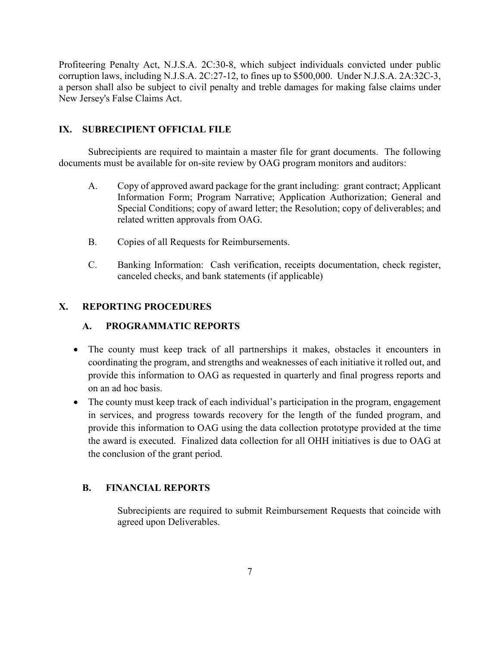Profiteering Penalty Act, N.J.S.A. 2C:30-8, which subject individuals convicted under public corruption laws, including N.J.S.A. 2C:27-12, to fines up to \$500,000. Under N.J.S.A. 2A:32C-3, a person shall also be subject to civil penalty and treble damages for making false claims under New Jersey's False Claims Act.

## **IX. SUBRECIPIENT OFFICIAL FILE**

Subrecipients are required to maintain a master file for grant documents. The following documents must be available for on-site review by OAG program monitors and auditors:

- A. Copy of approved award package for the grant including: grant contract; Applicant Information Form; Program Narrative; Application Authorization; General and Special Conditions; copy of award letter; the Resolution; copy of deliverables; and related written approvals from OAG.
- B. Copies of all Requests for Reimbursements.
- C. Banking Information: Cash verification, receipts documentation, check register, canceled checks, and bank statements (if applicable)

## **X. REPORTING PROCEDURES**

# **A. PROGRAMMATIC REPORTS**

- The county must keep track of all partnerships it makes, obstacles it encounters in coordinating the program, and strengths and weaknesses of each initiative it rolled out, and provide this information to OAG as requested in quarterly and final progress reports and on an ad hoc basis.
- The county must keep track of each individual's participation in the program, engagement in services, and progress towards recovery for the length of the funded program, and provide this information to OAG using the data collection prototype provided at the time the award is executed. Finalized data collection for all OHH initiatives is due to OAG at the conclusion of the grant period.

# **B. FINANCIAL REPORTS**

Subrecipients are required to submit Reimbursement Requests that coincide with agreed upon Deliverables.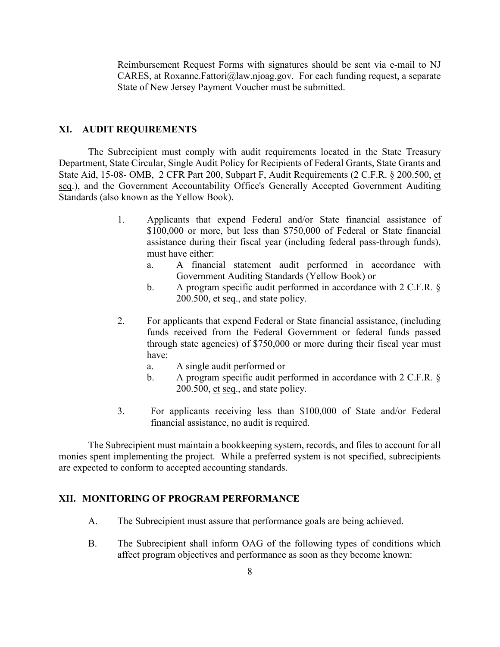Reimbursement Request Forms with signatures should be sent via e-mail to NJ CARES, at Roxanne.Fattori@law.njoag.gov. For each funding request, a separate State of New Jersey Payment Voucher must be submitted.

#### **XI. AUDIT REQUIREMENTS**

The Subrecipient must comply with audit requirements located in the State Treasury Department, State Circular, Single Audit Policy for Recipients of Federal Grants, State Grants and State Aid, 15-08- OMB, 2 CFR Part 200, Subpart F, Audit Requirements (2 C.F.R. § 200.500, et seq.), and the Government Accountability Office's Generally Accepted Government Auditing Standards (also known as the Yellow Book).

- 1. Applicants that expend Federal and/or State financial assistance of \$100,000 or more, but less than \$750,000 of Federal or State financial assistance during their fiscal year (including federal pass-through funds), must have either:
	- a. A financial statement audit performed in accordance with Government Auditing Standards (Yellow Book) or
	- b. A program specific audit performed in accordance with 2 C.F.R. § 200.500, et seq., and state policy.
- 2. For applicants that expend Federal or State financial assistance, (including funds received from the Federal Government or federal funds passed through state agencies) of \$750,000 or more during their fiscal year must have:
	- a. A single audit performed or
	- b. A program specific audit performed in accordance with 2 C.F.R. § 200.500, et seq., and state policy.
- 3. For applicants receiving less than \$100,000 of State and/or Federal financial assistance, no audit is required.

The Subrecipient must maintain a bookkeeping system, records, and files to account for all monies spent implementing the project. While a preferred system is not specified, subrecipients are expected to conform to accepted accounting standards.

#### **XII. MONITORING OF PROGRAM PERFORMANCE**

- A. The Subrecipient must assure that performance goals are being achieved.
- B. The Subrecipient shall inform OAG of the following types of conditions which affect program objectives and performance as soon as they become known: